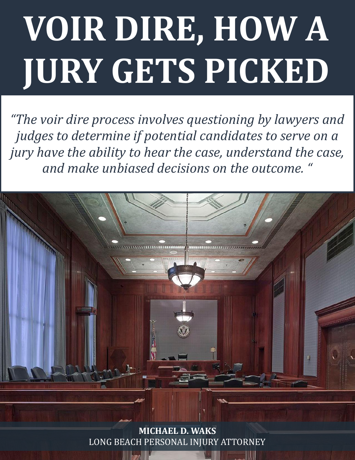# **VOIR DIRE, HOW A JURY GETS PICKED**

*"The voir dire process involves questioning by lawyers and judges to determine if potential candidates to serve on a jury have the ability to hear the case, understand the case, and make unbiased decisions on the outcome. "*



WHAT IS VOIR DELIGITTERSORIE HYJ ONT HET ONNET. **MICHAEL D. WAKS** [LONG BEACH PERSONAL INJURY ATTORNEY](http://www.michaelwaks.com/)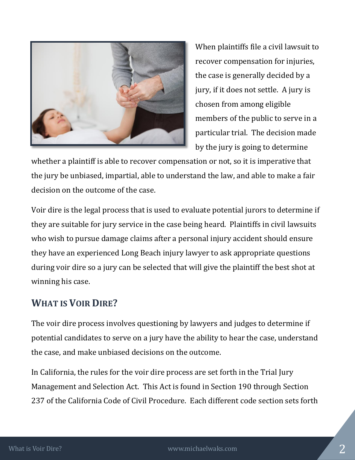

When plaintiffs file a civil lawsuit to recover compensation for injuries, the case is generally decided by a jury, if it does not settle. A jury is chosen from among eligible members of the public to serve in a particular trial. The decision made by the jury is going to determine

whether a plaintiff is able to recover compensation or not, so it is imperative that the jury be unbiased, impartial, able to understand the law, and able to make a fair decision on the outcome of the case.

Voir dire is the legal process that is used to evaluate potential jurors to determine if they are suitable for jury service in the case being heard. Plaintiffs in civil lawsuits who wish to pursue damage claims after a personal injury accident should ensure they have an experienced Long Beach injury lawyer to ask appropriate questions during voir dire so a jury can be selected that will give the plaintiff the best shot at winning his case.

## **WHAT IS VOIR DIRE?**

The voir dire process involves questioning by lawyers and judges to determine if potential candidates to serve on a jury have the ability to hear the case, understand the case, and make unbiased decisions on the outcome.

In California, the rules for the voir dire process are set forth in the Trial Jury Management and Selection Act. This Act is found in Section 190 through Section 237 of the California Code of Civil Procedure. Each different code section sets forth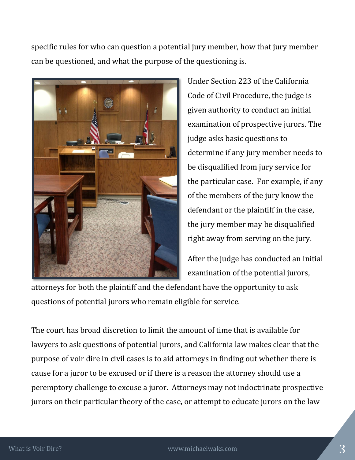specific rules for who can question a potential jury member, how that jury member can be questioned, and what the purpose of the questioning is.



Under Section 223 of the California Code of Civil Procedure, the judge is given authority to conduct an initial examination of prospective jurors. The judge asks basic questions to determine if any jury member needs to be disqualified from jury service for the particular case. For example, if any of the members of the jury know the defendant or the plaintiff in the case, the jury member may be disqualified right away from serving on the jury.

After the judge has conducted an initial examination of the potential jurors,

attorneys for both the plaintiff and the defendant have the opportunity to ask questions of potential jurors who remain eligible for service.

The court has broad discretion to limit the amount of time that is available for lawyers to ask questions of potential jurors, and California law makes clear that the purpose of voir dire in civil cases is to aid attorneys in finding out whether there is cause for a juror to be excused or if there is a reason the attorney should use a peremptory challenge to excuse a juror. Attorneys may not indoctrinate prospective jurors on their particular theory of the case, or attempt to educate jurors on the law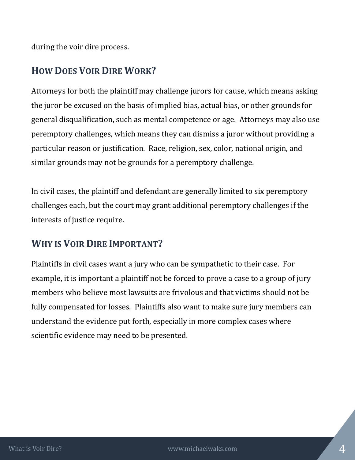during the voir dire process.

## **HOW DOES VOIR DIRE WORK?**

Attorneys for both the plaintiff may challenge jurors for cause, which means asking the juror be excused on the basis of implied bias, actual bias, or other grounds for general disqualification, such as mental competence or age. Attorneys may also use peremptory challenges, which means they can dismiss a juror without providing a particular reason or justification. Race, religion, sex, color, national origin, and similar grounds may not be grounds for a peremptory challenge.

In civil cases, the plaintiff and defendant are generally limited to six peremptory challenges each, but the court may grant additional peremptory challenges if the interests of justice require.

## **WHY IS VOIR DIRE IMPORTANT?**

Plaintiffs in civil cases want a jury who can be sympathetic to their case. For example, it is important a plaintiff not be forced to prove a case to a group of jury members who believe most lawsuits are frivolous and that victims should not be fully compensated for losses. Plaintiffs also want to make sure jury members can understand the evidence put forth, especially in more complex cases where scientific evidence may need to be presented.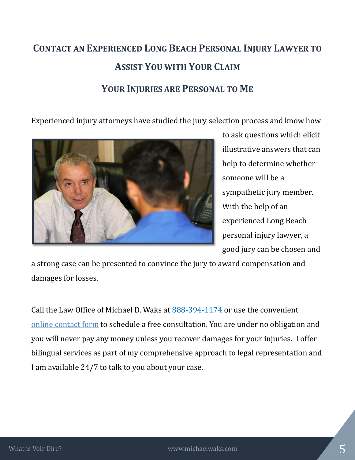## **CONTACT AN EXPERIENCED LONG BEACH PERSONAL INJURY LAWYER TO ASSIST YOU WITH YOUR CLAIM YOUR INJURIES ARE PERSONAL TO ME**

Experienced injury attorneys have studied the jury selection process and know how



to ask questions which elicit illustrative answers that can help to determine whether someone will be a sympathetic jury member. With the help of an experienced Long Beach personal injury lawyer, a good jury can be chosen and

a strong case can be presented to convince the jury to award compensation and damages for losses.

Call the Law Office of Michael D. Waks at [888-394-1174](tel:8883941174) or use the convenient online [contact form](http://www.michaelwaks.com/contact/) to schedule a free consultation. You are under no obligation and you will never pay any money unless you recover damages for your injuries. I offer bilingual services as part of my comprehensive approach to legal representation and I am available 24/7 to talk to you about your case.